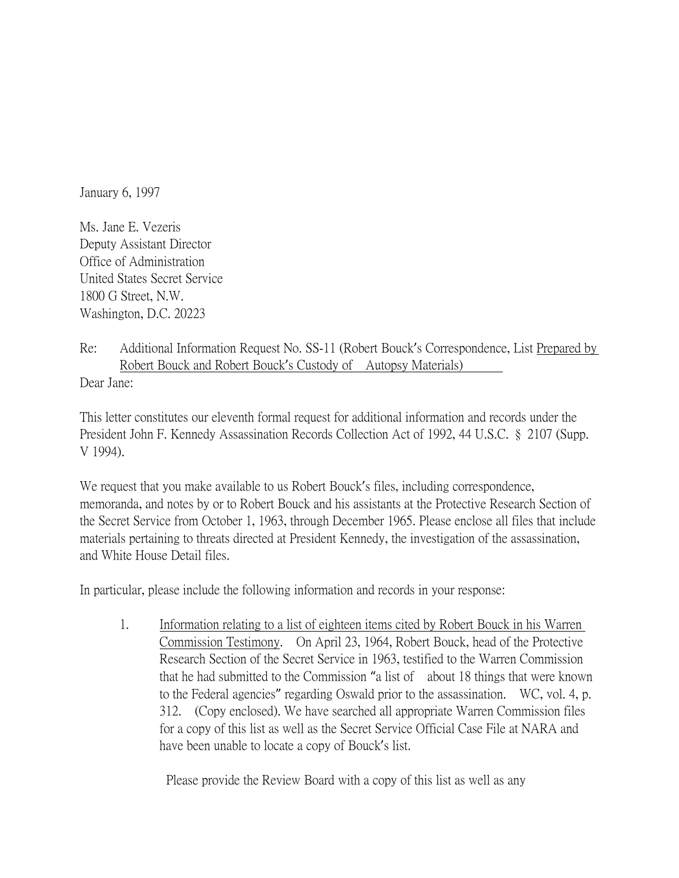January 6, 1997

Ms. Jane E. Vezeris Deputy Assistant Director Office of Administration United States Secret Service 1800 G Street, N.W. Washington, D.C. 20223

Re: Additional Information Request No. SS-11 (Robert Bouck's Correspondence, List Prepared by Robert Bouck and Robert Bouck's Custody of Autopsy Materials) Dear Jane:

This letter constitutes our eleventh formal request for additional information and records under the President John F. Kennedy Assassination Records Collection Act of 1992, 44 U.S.C. § 2107 (Supp. V 1994).

We request that you make available to us Robert Bouck's files, including correspondence, memoranda, and notes by or to Robert Bouck and his assistants at the Protective Research Section of the Secret Service from October 1, 1963, through December 1965. Please enclose all files that include materials pertaining to threats directed at President Kennedy, the investigation of the assassination, and White House Detail files.

In particular, please include the following information and records in your response:

1. Information relating to a list of eighteen items cited by Robert Bouck in his Warren Commission Testimony. On April 23, 1964, Robert Bouck, head of the Protective Research Section of the Secret Service in 1963, testified to the Warren Commission that he had submitted to the Commission "a list of about 18 things that were known to the Federal agencies" regarding Oswald prior to the assassination. WC, vol. 4, p. 312. (Copy enclosed). We have searched all appropriate Warren Commission files for a copy of this list as well as the Secret Service Official Case File at NARA and have been unable to locate a copy of Bouck's list.

Please provide the Review Board with a copy of this list as well as any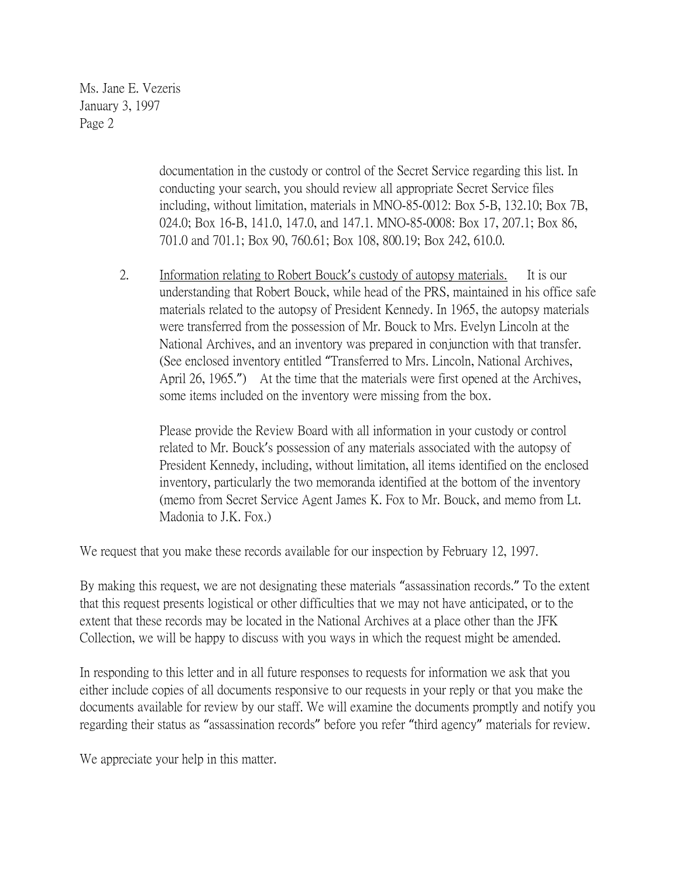Ms. Jane E. Vezeris January 3, 1997 Page 2

> documentation in the custody or control of the Secret Service regarding this list. In conducting your search, you should review all appropriate Secret Service files including, without limitation, materials in MNO-85-0012: Box 5-B, 132.10; Box 7B, 024.0; Box 16-B, 141.0, 147.0, and 147.1. MNO-85-0008: Box 17, 207.1; Box 86, 701.0 and 701.1; Box 90, 760.61; Box 108, 800.19; Box 242, 610.0.

2. Information relating to Robert Bouck's custody of autopsy materials. It is our understanding that Robert Bouck, while head of the PRS, maintained in his office safe materials related to the autopsy of President Kennedy. In 1965, the autopsy materials were transferred from the possession of Mr. Bouck to Mrs. Evelyn Lincoln at the National Archives, and an inventory was prepared in conjunction with that transfer. (See enclosed inventory entitled "Transferred to Mrs. Lincoln, National Archives, April 26, 1965.") At the time that the materials were first opened at the Archives, some items included on the inventory were missing from the box.

Please provide the Review Board with all information in your custody or control related to Mr. Bouck's possession of any materials associated with the autopsy of President Kennedy, including, without limitation, all items identified on the enclosed inventory, particularly the two memoranda identified at the bottom of the inventory (memo from Secret Service Agent James K. Fox to Mr. Bouck, and memo from Lt. Madonia to J.K. Fox.)

We request that you make these records available for our inspection by February 12, 1997.

By making this request, we are not designating these materials "assassination records." To the extent that this request presents logistical or other difficulties that we may not have anticipated, or to the extent that these records may be located in the National Archives at a place other than the JFK Collection, we will be happy to discuss with you ways in which the request might be amended.

In responding to this letter and in all future responses to requests for information we ask that you either include copies of all documents responsive to our requests in your reply or that you make the documents available for review by our staff. We will examine the documents promptly and notify you regarding their status as "assassination records" before you refer "third agency" materials for review.

We appreciate your help in this matter.